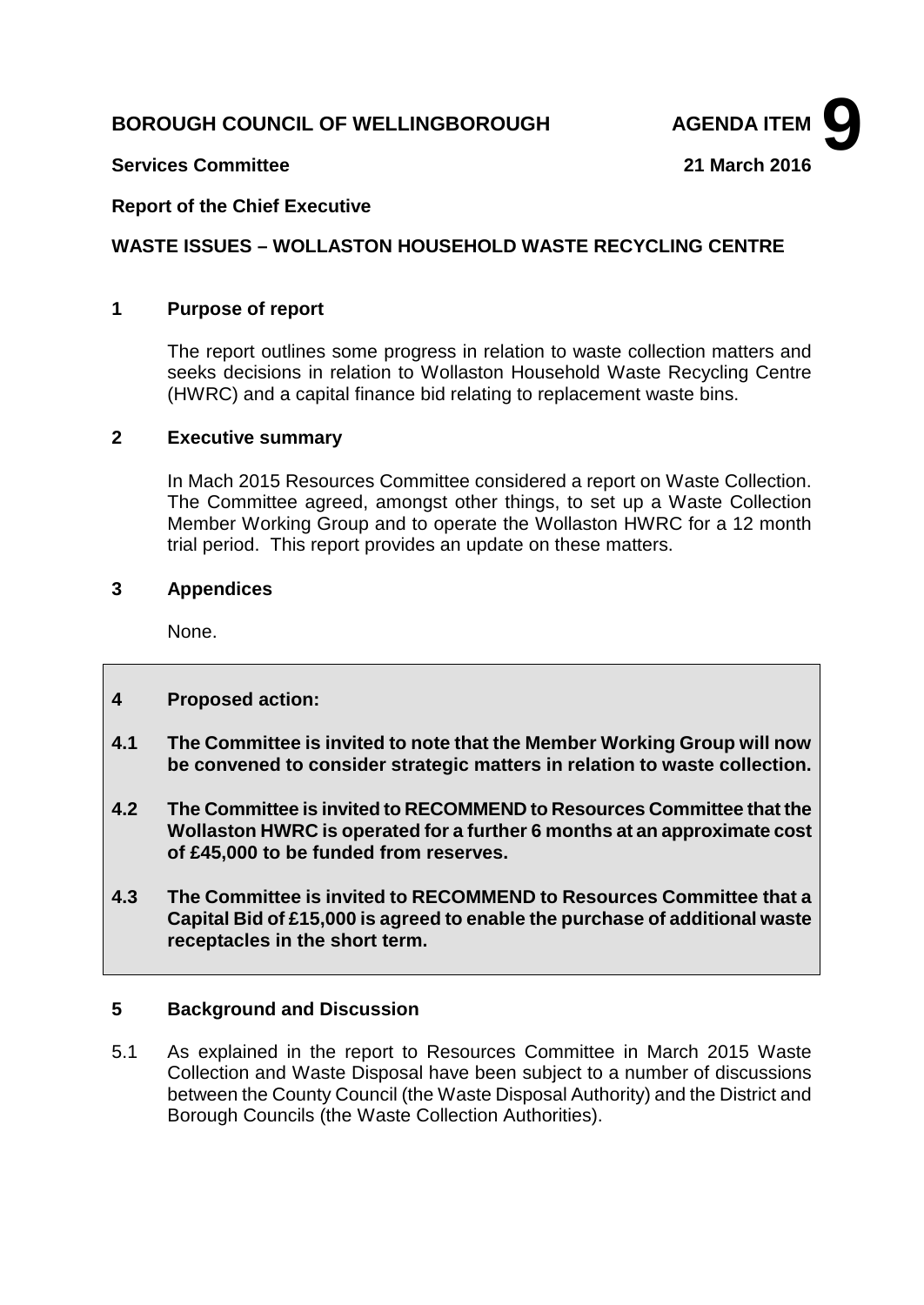# **BOROUGH COUNCIL OF WELLINGBOROUGH AGENDA ITEM**



### **Services Committee 21 March 2016**

### **Report of the Chief Executive**

### **WASTE ISSUES – WOLLASTON HOUSEHOLD WASTE RECYCLING CENTRE**

#### **1 Purpose of report**

The report outlines some progress in relation to waste collection matters and seeks decisions in relation to Wollaston Household Waste Recycling Centre (HWRC) and a capital finance bid relating to replacement waste bins.

### **2 Executive summary**

In Mach 2015 Resources Committee considered a report on Waste Collection. The Committee agreed, amongst other things, to set up a Waste Collection Member Working Group and to operate the Wollaston HWRC for a 12 month trial period. This report provides an update on these matters.

### **3 Appendices**

None.

### **4 Proposed action:**

- **4.1 The Committee is invited to note that the Member Working Group will now be convened to consider strategic matters in relation to waste collection.**
- **4.2 The Committee is invited to RECOMMEND to Resources Committee that the Wollaston HWRC is operated for a further 6 months at an approximate cost of £45,000 to be funded from reserves.**
- **4.3 The Committee is invited to RECOMMEND to Resources Committee that a Capital Bid of £15,000 is agreed to enable the purchase of additional waste receptacles in the short term.**

## **5 Background and Discussion**

5.1 As explained in the report to Resources Committee in March 2015 Waste Collection and Waste Disposal have been subject to a number of discussions between the County Council (the Waste Disposal Authority) and the District and Borough Councils (the Waste Collection Authorities).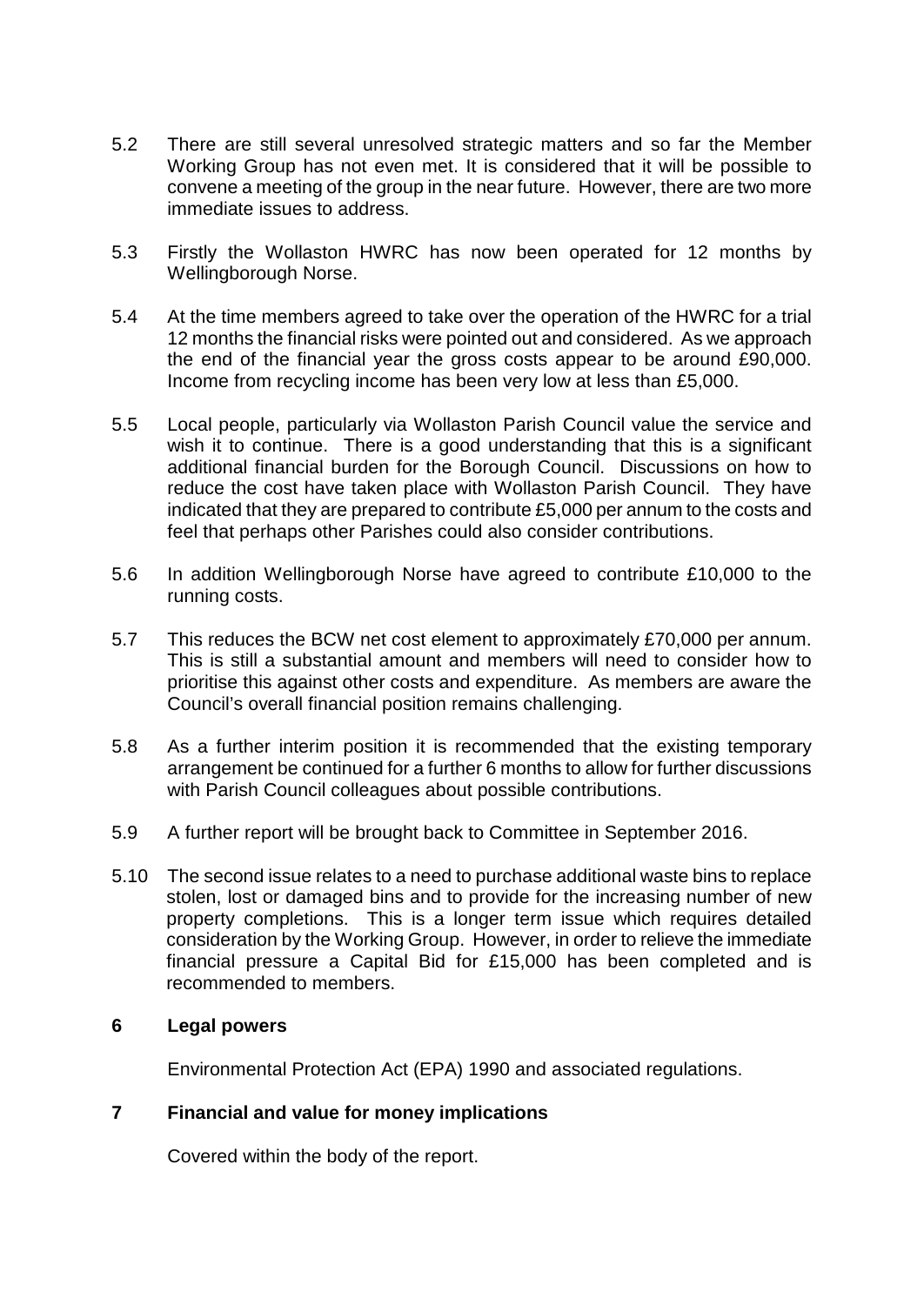- 5.2 There are still several unresolved strategic matters and so far the Member Working Group has not even met. It is considered that it will be possible to convene a meeting of the group in the near future. However, there are two more immediate issues to address.
- 5.3 Firstly the Wollaston HWRC has now been operated for 12 months by Wellingborough Norse.
- 5.4 At the time members agreed to take over the operation of the HWRC for a trial 12 months the financial risks were pointed out and considered. As we approach the end of the financial year the gross costs appear to be around £90,000. Income from recycling income has been very low at less than £5,000.
- 5.5 Local people, particularly via Wollaston Parish Council value the service and wish it to continue. There is a good understanding that this is a significant additional financial burden for the Borough Council. Discussions on how to reduce the cost have taken place with Wollaston Parish Council. They have indicated that they are prepared to contribute £5,000 per annum to the costs and feel that perhaps other Parishes could also consider contributions.
- 5.6 In addition Wellingborough Norse have agreed to contribute £10,000 to the running costs.
- 5.7 This reduces the BCW net cost element to approximately £70,000 per annum. This is still a substantial amount and members will need to consider how to prioritise this against other costs and expenditure. As members are aware the Council's overall financial position remains challenging.
- 5.8 As a further interim position it is recommended that the existing temporary arrangement be continued for a further 6 months to allow for further discussions with Parish Council colleagues about possible contributions.
- 5.9 A further report will be brought back to Committee in September 2016.
- 5.10 The second issue relates to a need to purchase additional waste bins to replace stolen, lost or damaged bins and to provide for the increasing number of new property completions. This is a longer term issue which requires detailed consideration by the Working Group. However, in order to relieve the immediate financial pressure a Capital Bid for £15,000 has been completed and is recommended to members.

# **6 Legal powers**

Environmental Protection Act (EPA) 1990 and associated regulations.

## **7 Financial and value for money implications**

Covered within the body of the report.